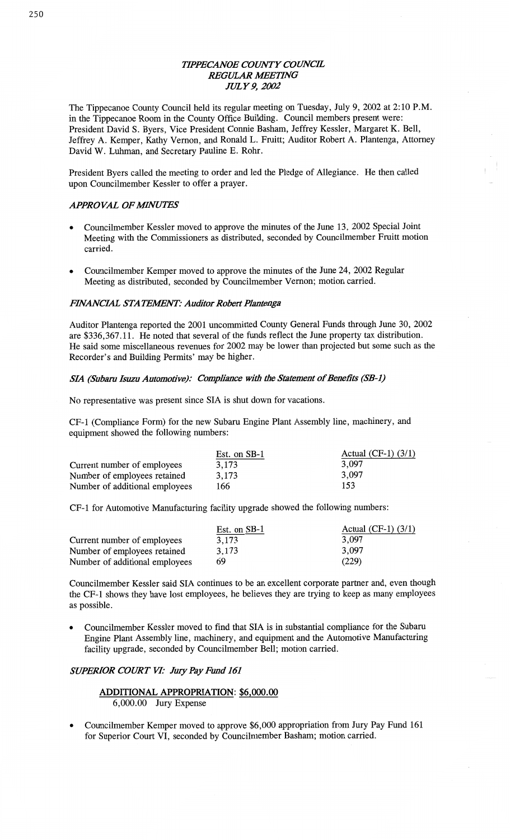# *WPECANOE COWTY COUNCE REGULAR IMEETHVG JULY* 9, *2002*

The Tippecanoe County Council held its regular meeting on Tuesday, July 9, 2002 at 2: 10 RM. in the Tippecanoe Room in the County Office Building. Council members present were: President David S. Byers, Vice President Connie **Basham,** Jeffrey **Kessler,** Margaret K. Bell, Jeffrey A. Kemper, Kathy **Vernon,** and **Ronald** L. Fruitt; **Auditor** Robert A. Plantenga, Attorney David W. **Luhman,** and Secretary Pauline E. Rohr.

President Byers called the meeting to order and led the Pledge of Allegiance. He then called upon Councilmember Kessler to offer a prayer.

# **APPROVAL OF MINUTES**

- **o** Councihnember Kessler **moved** to **approve** the minutes of the June 13, 2002 Special Joint Meeting with the Commissioners as distributed, **seconded** by Councilmember Pruitt **motion**  carried.
- **0** Councilmember Kemper **moved** to approve the **minutes** of the June 24, 2002 Regular Meeting as distributed, seconded by Councilmember **Vernon;** motion **carried.**

# **FINANCIAL STATEMENT: Auditor Robert Plantenga**

Auditor **Plantenga** reported the 2001 uncommitted County General Funds through June 30, 2002 are \$336,367.11. He noted that several of the **funds** reflect the June property tax distribution. He said **some** miscellaneous revenues for 2002 may be lower than projected but some such as the Recorder's and Building Permits' may be higher.

# *SIA* (Subaru Isuzu Automotive): Compliance with the Statement of Benefits (SB-1)

No representative was present **since** SIA is shut down for **vacations.** 

CF-l **(Compliance** Form) for the new Subaru **Engine Plant** Assembly line, machinery, and equipment showed the following numbers:

|                                | Est. on SB-1 | Actual (CF-1) $(3/1)$ |
|--------------------------------|--------------|-----------------------|
| Current number of employees    | 3.173        | 3,097                 |
| Number of employees retained   | 3,173        | 3,097                 |
| Number of additional employees | 166          | 153                   |

CF-l for Automotive Manufacturing facility upgrade showed the following numbers:

|                                | Est. on SB-1 | Actual (CF-1) $(3/1)$ |
|--------------------------------|--------------|-----------------------|
| Current number of employees    | 3.173        | 3,097                 |
| Number of employees retained   | 3.173        | 3.097                 |
| Number of additional employees | 69           | (229)                 |

Councilmember Kessler said SIA **continues** to be an excellent corporate partner **and,** even though the CF-l shows they have lost **employees,** he believes they are trying to keep as many employees as **possible.** 

**<sup>0</sup>**Councilmember Kessler **moved** to find **that** SIA is in **substantial** compliance for the Subaru Engine **Plant** Assembly line, **machinery,** and **equipment** and the **Automotive** Manufacturing facility upgrade, seconded by Councilmember Bell; **motion** carried.

# *SUPERIOR COURT* VI: *JwyPayEmd* 161

# **ADDITIONAL APPROPRIATION:** \$6,000.00 6,000.00 Jury **Expense**

**o** Councilmember Kemper moved to approve \$6,000 appropriation from Jury Pay Fund 161 for Superior Court VI, seconded by Councilmember Basham; **motion carried.**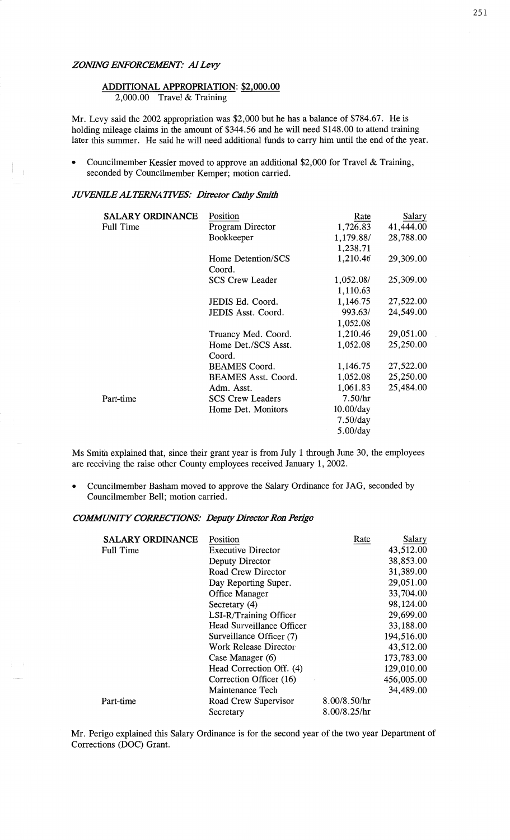#### *ZONING ENFORCEMENT?* A1 *Levy*

# **ADDITIONAL APPROPRIATION:** \$2,000.00

2,000.00 Travel & **Training** 

Mr. Levy said the 2002 appropriation was \$2,000 but he has a balance of **\$784.67** . He is holding mileage claims in the amount of \$344.56 and he will need \$148.00 to attend training later this summer. He said he will need additional funds to carry him **until** the end of the year.

• Councilmember Kessler moved to approve an additional \$2,000 for Travel & Training, seconded by Councilmember Kemper; motion carried.

#### *JUVENILE ALTERNATIVES: Director Cathy Smith*

| <b>SALARY ORDINANCE</b> | Position                   | Rate         | Salary    |
|-------------------------|----------------------------|--------------|-----------|
| Full Time               | Program Director           | 1,726.83     | 41,444.00 |
|                         | Bookkeeper                 | 1,179.88/    | 28,788.00 |
|                         |                            | 1,238.71     |           |
|                         | Home Detention/SCS         | 1,210.46     | 29,309.00 |
|                         | Coord.                     |              |           |
|                         | <b>SCS Crew Leader</b>     | 1,052.08/    | 25,309.00 |
|                         |                            | 1,110.63     |           |
|                         | JEDIS Ed. Coord.           | 1,146.75     | 27,522.00 |
|                         | JEDIS Asst. Coord.         | 993.63/      | 24,549.00 |
|                         |                            | 1,052.08     |           |
|                         | Truancy Med. Coord.        | 1,210.46     | 29,051.00 |
|                         | Home Det./SCS Asst.        | 1,052.08     | 25,250.00 |
|                         | Coord.                     |              |           |
|                         | <b>BEAMES</b> Coord.       | 1,146.75     | 27,522.00 |
|                         | <b>BEAMES Asst. Coord.</b> | 1,052.08     | 25,250.00 |
|                         | Adm. Asst.                 | 1,061.83     | 25,484.00 |
| Part-time               | <b>SCS Crew Leaders</b>    | 7.50/hr      |           |
|                         | Home Det. Monitors         | $10.00$ /day |           |
|                         |                            | $7.50$ /day  |           |
|                         |                            | $5.00$ /day  |           |

Ms Smith explained that, since their grant year is from July 1 through June 30, the employees are receiving the raise other County employees received January 1, 2002.

**o** Councilmember Basham moved to approve the Salary Ordinance for JAG, seconded by Councilmember Bell; motion carried.

#### *COWMVITY CORRECTIONS: Deputy Dinector* Ron *Pengo*

| <b>SALARY ORDINANCE</b> | Position                     | Rate         | Salary     |
|-------------------------|------------------------------|--------------|------------|
| Full Time               | <b>Executive Director</b>    |              | 43,512.00  |
|                         | Deputy Director              |              | 38,853.00  |
|                         | Road Crew Director           |              | 31,389.00  |
|                         | Day Reporting Super.         |              | 29,051.00  |
|                         | Office Manager               |              | 33,704.00  |
|                         | Secretary (4)                |              | 98,124.00  |
|                         | LSI-R/Training Officer       |              | 29,699.00  |
|                         | Head Surveillance Officer    |              | 33,188.00  |
|                         | Surveillance Officer (7)     |              | 194,516.00 |
|                         | <b>Work Release Director</b> |              | 43,512.00  |
|                         | Case Manager (6)             |              | 173,783.00 |
|                         | Head Correction Off. (4)     |              | 129,010.00 |
|                         | Correction Officer (16)      |              | 456,005.00 |
|                         | Maintenance Tech             |              | 34,489.00  |
| Part-time               | Road Crew Supervisor         | 8.00/8.50/hr |            |
|                         | Secretary                    | 8.00/8.25/hr |            |

Mr. Perigo explained this Salary Ordinance is for the second year of the two year Department of Corrections (DOC) Grant.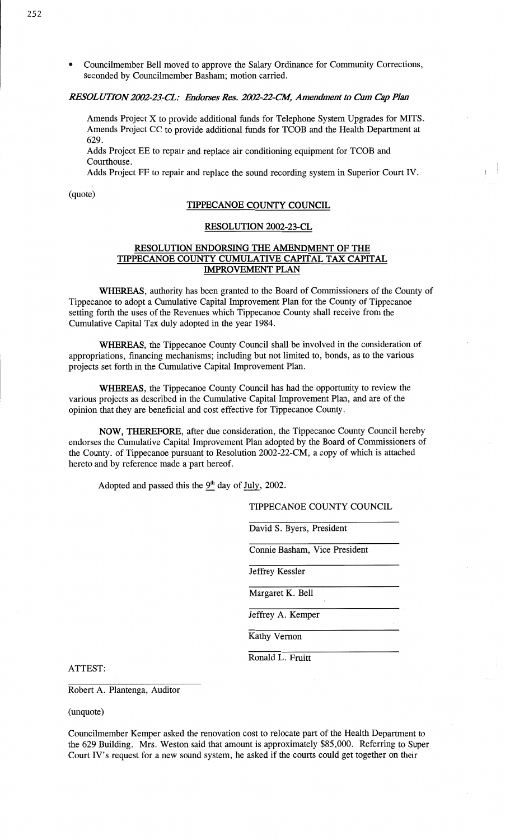**o** Councilmember Bell **moved** to approve the Salary **Ordinance** for Community **Corrections,**  seconded by Councilmember Basham; motion carried.

#### *RESOLUTION 2002-23-CL: Endorses Res. 2002-22-CM, Amendment to Cum Cap Plan*

Amends Project X to **provide** additional funds for Telephone System Upgrades for MITS. **Amends Project** CC to provide additional **funds** for TCOB and the **Health** Department at **629.** 

**Adds Project** BE to **repair** and replace air conditioning equipment for TCOB and **Courthouse.** 

**Adds** Project FF to repair and replace the **sound** recording system in Superior **Court** IV.

# (quote)<br> **TIPPECANOE COUNTY COUNCIL**

#### **RESOLUTION** 2002-23-CL

#### **RESOLUTION ENDORSING** THE **AMENDMENT** OF THE **TIPPECANOE COUNTY CUMULATIVE CAPITAL** TAX **CAPITAL IMPROVEMENT PLAN**

**WHEREAS,** authority has **been** granted to the Board of **Commissioners** of the County of Tippecanoe to **adopt** a Cumulative Capital **Improvement Plan** for the **County** of **Tippecanoe**  setting forth the **uses** of the Revenues **which Tippecanoe County** shall receive from the Cumulative **Capital** Tax duly adopted in the year 1984.

**WHEREAS,** the Tippecanoe County Council **shall** be involved in the consideration of appropriations, financing **mechanisms;** including but not **limited** to, **bonds,** as to the **various projects** set forth in the **Cumulative** Capital Improvement **Plan.** 

**WHEREAS,** the Tippecanoe County Council has had the opportunity to review the various projects as described in the Cumulative Capital Improvement **Plan,** and are of the opinion that they are beneficial and cost effective for Tippecanoe County.

**NOW, THEREFORE,** after due consideration, the **Tippecanoe** County Council hereby endorses the **Cumulative** Capital Improvement Plan adopted by the Board of **Commissioners** of the County. of Tippecanoe pursuant to Resolution 2002—22-CM, a copy of which is attached hereto and by reference made a **part** hereof.

Adopted and passed this the 9<sup>th</sup> day of July, 2002.

TIPPECANOE COUNTY **COUNCIL** 

David S. Byers, President

Connie **Basham, Vice** President

Jeffrey Kessler

Margaret K. Bell

Jeffrey A. Kemper

Kathy Vernon

**Ronald** L. Pruitt

ATTEST:

Robert A. Plantenga, Auditor

(unquotc)

**Councilmember** Kemper asked the renovation **cost** to relocate **part** of the Health Department to ' the 629 Building. **Mrs.** Weston said that amount is approximately \$85,000. Referring to Super Court **IV's** request for a new sound system, he **asked** if the **courts** could get together on their